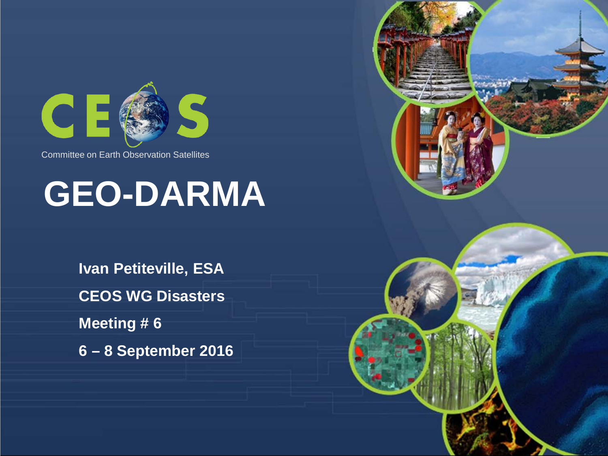

# **GEO-DARMA**

**Ivan Petiteville, ESA CEOS WG Disasters Meeting # 6 6 – 8 September 2016**

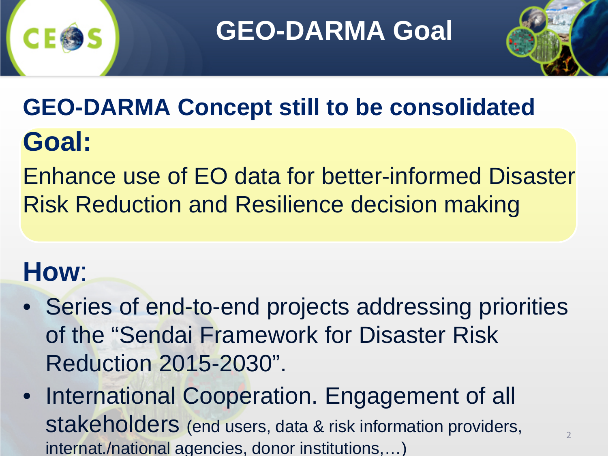**GEO-DARMA Goal** 



## **GEO-DARMA Concept still to be consolidated**

### **Goal:**

Enhance use of EO data for better-informed Disaster Risk Reduction and Resilience decision making

## **How**:

- Series of end-to-end projects addressing priorities of the "Sendai Framework for Disaster Risk Reduction 2015-2030".
- International Cooperation. Engagement of all stakeholders (end users, data & risk information providers, internat./national agencies, donor institutions,…)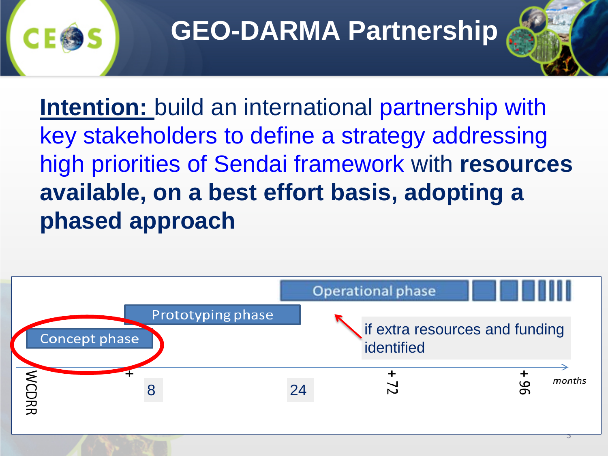## **GEO-DARMA Partnership**

**Intention:** build an international partnership with key stakeholders to define a strategy addressing high priorities of Sendai framework with **resources available, on a best effort basis, adopting a phased approach**

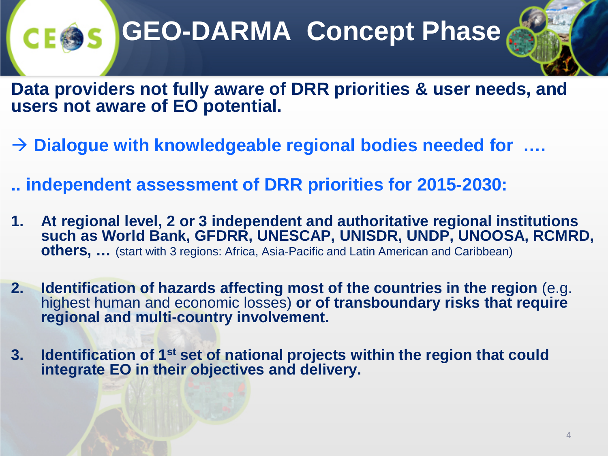## **GEO-DARMA Concept Phase**



**Data providers not fully aware of DRR priorities & user needs, and users not aware of EO potential.**

- **Dialogue with knowledgeable regional bodies needed for ….**
- **.. independent assessment of DRR priorities for 2015-2030:**
- **1. At regional level, 2 or 3 independent and authoritative regional institutions such as World Bank, GFDRR, UNESCAP, UNISDR, UNDP, UNOOSA, RCMRD, others, …** (start with 3 regions: Africa, Asia-Pacific and Latin American and Caribbean)
- **2. Identification of hazards affecting most of the countries in the region** (e.g. highest human and economic losses) **or of transboundary risks that require regional and multi-country involvement.**
- **3. Identification of 1st set of national projects within the region that could integrate EO in their objectives and delivery.**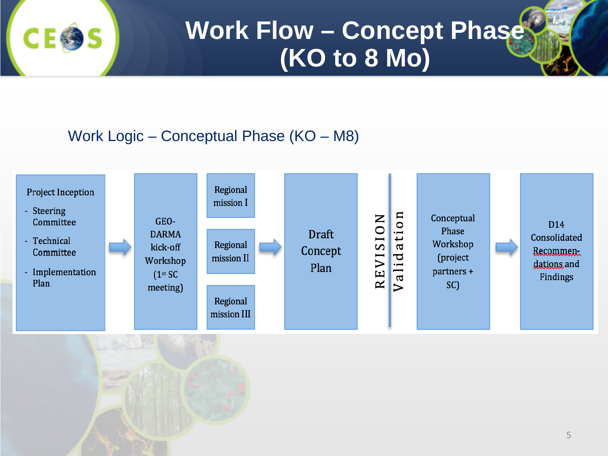

## **Work Flow – Concept Phase (KO to 8 Mo)**

### Work Logic – Conceptual Phase (KO – M8)

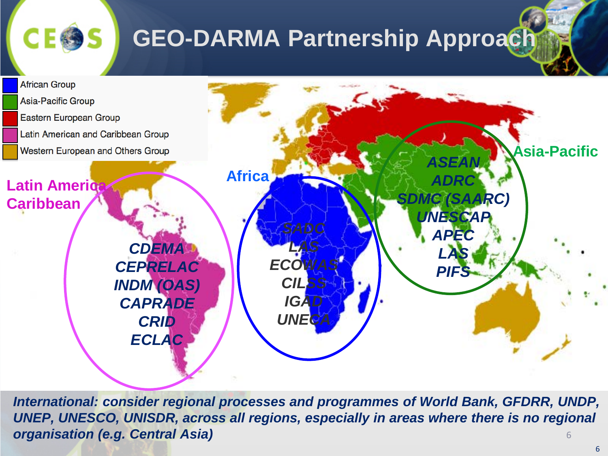

## **GEO-DARMA Partnership Approach**



6 *International: consider regional processes and programmes of World Bank, GFDRR, UNDP, UNEP, UNESCO, UNISDR, across all regions, especially in areas where there is no regional organisation (e.g. Central Asia)*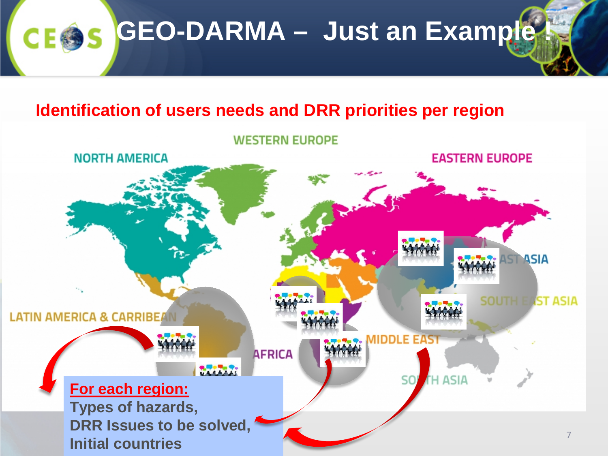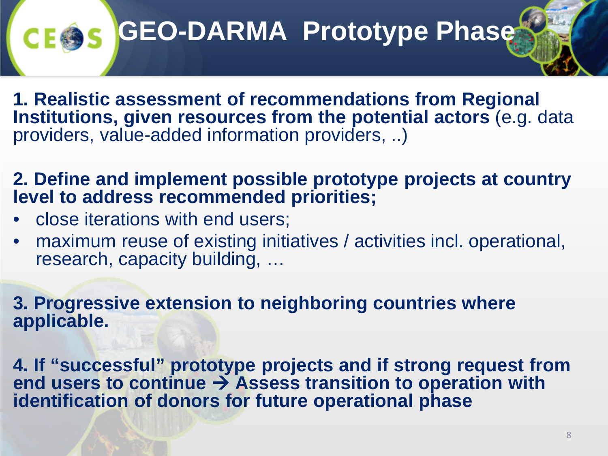## **GEO-DARMA Prototype Phase**

**1. Realistic assessment of recommendations from Regional Institutions, given resources from the potential actors** (e.g. data providers, value-added information providers, ..)

**2. Define and implement possible prototype projects at country level to address recommended priorities;**

- close iterations with end users;
- maximum reuse of existing initiatives / activities incl. operational, research, capacity building, …

**3. Progressive extension to neighboring countries where applicable.** 

**4. If "successful" prototype projects and if strong request from**  end users to continue  $\rightarrow$  Assess transition to operation with **identification of donors for future operational phase**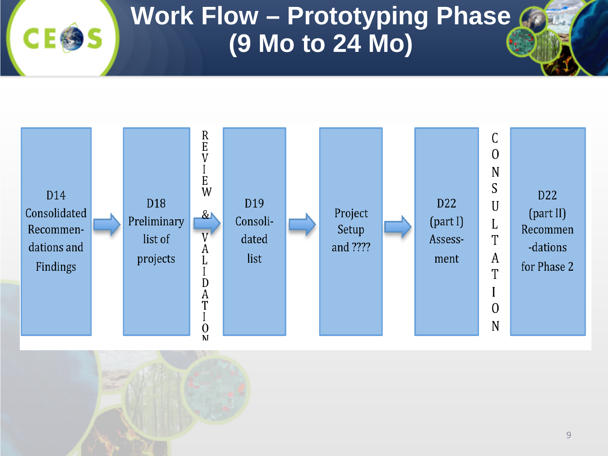## **Work Flow – Prototyping Phase (9 Mo to 24 Mo)**





**CE®**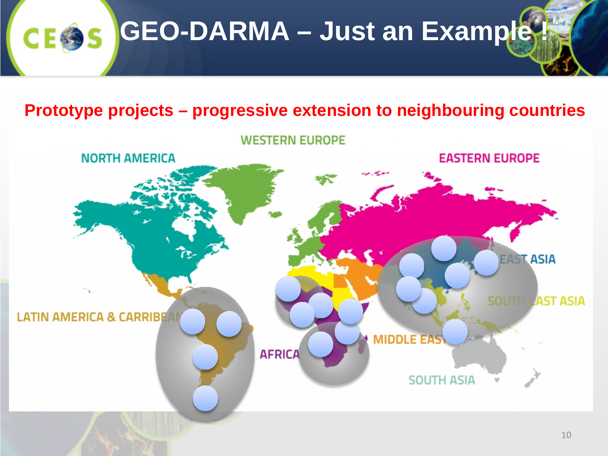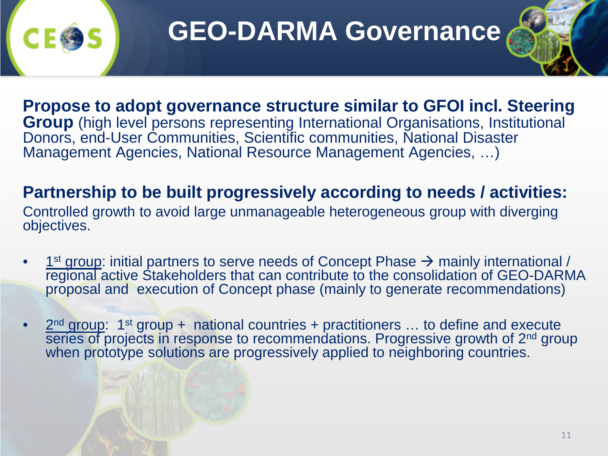## **GEO-DARMA Governance**



**Propose to adopt governance structure similar to GFOI incl. Steering Group** (high level persons representing International Organisations, Institutional Donors, end-User Communities, Scientific communities, National Disaster Management Agencies, National Resource Management Agencies, …)

### **Partnership to be built progressively according to needs / activities:**

Controlled growth to avoid large unmanageable heterogeneous group with diverging objectives.

- $1<sup>st</sup> group: initial partners to serve needs of Concept Phase  $\rightarrow$  mainly international /$ regional active Stakeholders that can contribute to the consolidation of GEO-DARMA proposal and execution of Concept phase (mainly to generate recommendations)
- $2<sup>nd</sup>$  group: 1<sup>st</sup> group + national countries + practitioners ... to define and execute series of projects in response to recommendations. Progressive growth of 2<sup>nd</sup> group when prototype solutions are progressively applied to neighboring countries.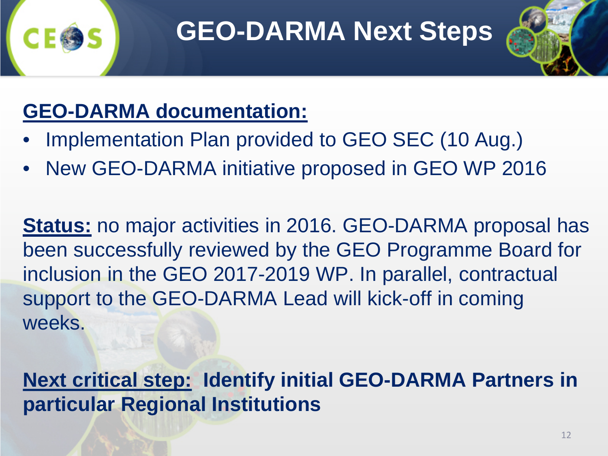## **GEO-DARMA Next Steps**



### **GEO-DARMA documentation:**

- Implementation Plan provided to GEO SEC (10 Aug.)
- New GEO-DARMA initiative proposed in GEO WP 2016

**Status:** no major activities in 2016. GEO-DARMA proposal has been successfully reviewed by the GEO Programme Board for inclusion in the GEO 2017-2019 WP. In parallel, contractual support to the GEO-DARMA Lead will kick-off in coming weeks.

**Next critical step: Identify initial GEO-DARMA Partners in particular Regional Institutions**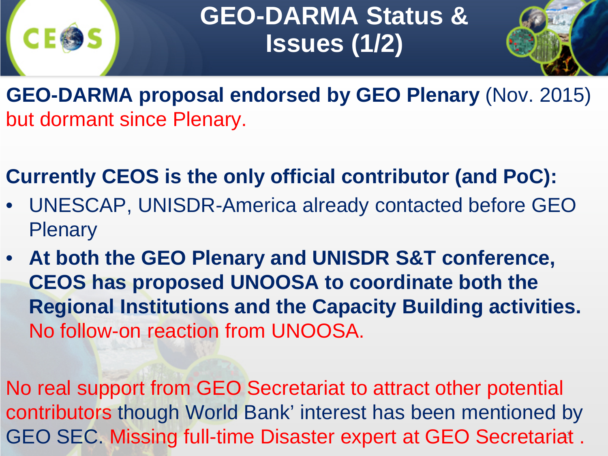## **GEO-DARMA Status & Issues (1/2)**



**GEO-DARMA proposal endorsed by GEO Plenary** (Nov. 2015) but dormant since Plenary.

**Currently CEOS is the only official contributor (and PoC):**

- UNESCAP, UNISDR-America already contacted before GEO **Plenary**
- **At both the GEO Plenary and UNISDR S&T conference, CEOS has proposed UNOOSA to coordinate both the Regional Institutions and the Capacity Building activities.**  No follow-on reaction from UNOOSA.

GEO SEC. Missing full-time Disaster expert at GEO Secretariat. No real support from GEO Secretariat to attract other potential contributors though World Bank' interest has been mentioned by